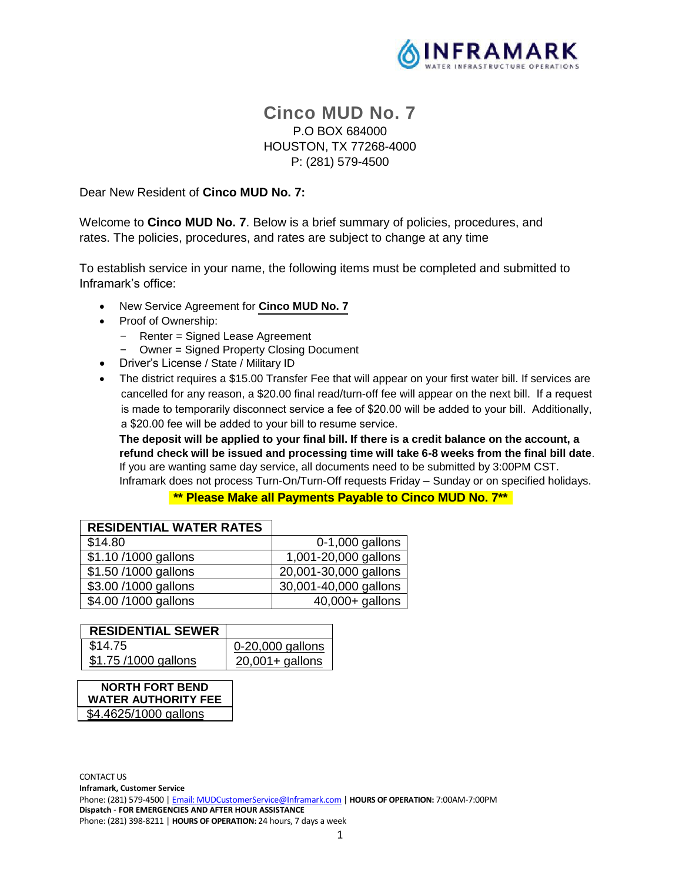

# **Cinco MUD No. 7** P.O BOX 684000 HOUSTON, TX 77268-4000 P: (281) 579-4500

Dear New Resident of **Cinco MUD No. 7:**

Welcome to **Cinco MUD No. 7**. Below is a brief summary of policies, procedures, and rates. The policies, procedures, and rates are subject to change at any time

To establish service in your name, the following items must be completed and submitted to Inframark's office:

- New Service Agreement for **Cinco MUD No. 7**
- Proof of Ownership:
	- Renter = Signed Lease Agreement
	- Owner = Signed Property Closing Document
- Driver's License / State / Military ID
- The district requires a \$15.00 Transfer Fee that will appear on your first water bill. If services are cancelled for any reason, a \$20.00 final read/turn-off fee will appear on the next bill. If a request is made to temporarily disconnect service a fee of \$20.00 will be added to your bill. Additionally, a \$20.00 fee will be added to your bill to resume service.

**The deposit will be applied to your final bill. If there is a credit balance on the account, a refund check will be issued and processing time will take 6-8 weeks from the final bill date**. If you are wanting same day service, all documents need to be submitted by 3:00PM CST. Inframark does not process Turn-On/Turn-Off requests Friday – Sunday or on specified holidays.

**\*\* Please Make all Payments Payable to Cinco MUD No. 7\*\***

| <b>RESIDENTIAL WATER RATES</b> |                       |
|--------------------------------|-----------------------|
| \$14.80                        | 0-1,000 gallons       |
| \$1.10/1000 gallons            | 1,001-20,000 gallons  |
| \$1.50 /1000 gallons           | 20,001-30,000 gallons |
| \$3.00 /1000 gallons           | 30,001-40,000 gallons |
| \$4.00 /1000 gallons           | 40,000+ gallons       |
|                                |                       |

| <b>RESIDENTIAL SEWER</b> |                   |
|--------------------------|-------------------|
| \$14.75                  | 0-20,000 gallons  |
| \$1.75 /1000 gallons     | $20,001+$ gallons |

**NORTH FORT BEND WATER AUTHORITY FEE** \$4.4625/1000 gallons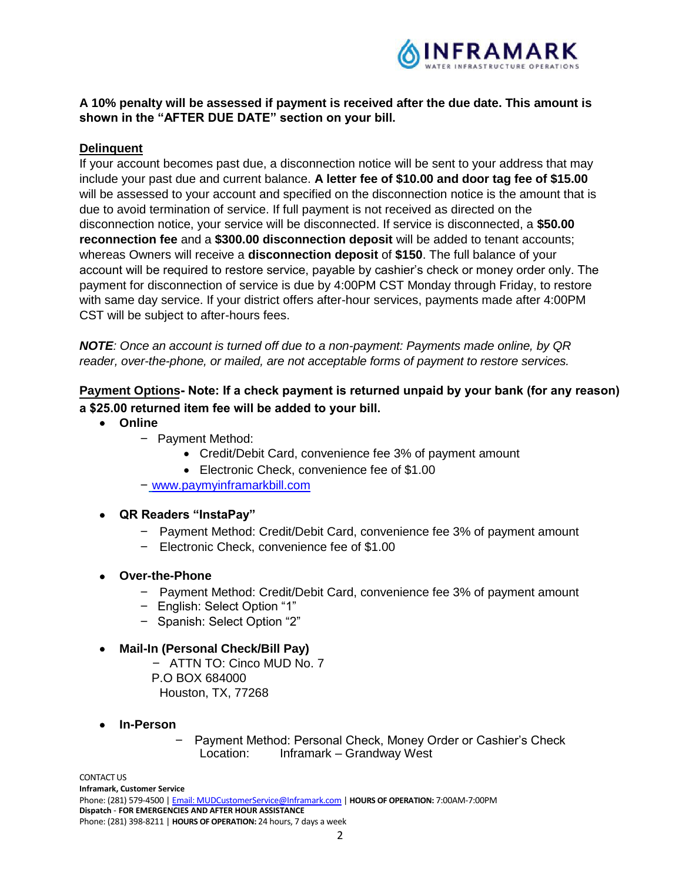

## **A 10% penalty will be assessed if payment is received after the due date. This amount is shown in the "AFTER DUE DATE" section on your bill.**

## **Delinquent**

If your account becomes past due, a disconnection notice will be sent to your address that may include your past due and current balance. **A letter fee of \$10.00 and door tag fee of \$15.00**  will be assessed to your account and specified on the disconnection notice is the amount that is due to avoid termination of service. If full payment is not received as directed on the disconnection notice, your service will be disconnected. If service is disconnected, a **\$50.00 reconnection fee** and a **\$300.00 disconnection deposit** will be added to tenant accounts; whereas Owners will receive a **disconnection deposit** of **\$150**. The full balance of your account will be required to restore service, payable by cashier's check or money order only. The payment for disconnection of service is due by 4:00PM CST Monday through Friday, to restore with same day service. If your district offers after-hour services, payments made after 4:00PM CST will be subject to after-hours fees.

*NOTE: Once an account is turned off due to a non-payment: Payments made online, by QR reader, over-the-phone, or mailed, are not acceptable forms of payment to restore services.*

## **Payment Options Note: If a check payment is returned unpaid by your bank (for any reason) a \$25.00 returned item fee will be added to your bill.**

- **Online**
	- Payment Method:
		- Credit/Debit Card, convenience fee 3% of payment amount
		- Electronic Check, convenience fee of \$1.00
	- www.paymyinframarkbill.com

#### • **QR Readers "InstaPay"**

- Payment Method: Credit/Debit Card, convenience fee 3% of payment amount
- Electronic Check, convenience fee of \$1.00
- **Over-the-Phone**
	- Payment Method: Credit/Debit Card, convenience fee 3% of payment amount
	- English: Select Option "1"
	- Spanish: Select Option "2"

## • **Mail-In (Personal Check/Bill Pay)**

- ATTN TO: Cinco MUD No. 7
- P.O BOX 684000
- Houston, TX, 77268
- **In-Person**
	- Payment Method: Personal Check, Money Order or Cashier's Check Location: Inframark – Grandway West